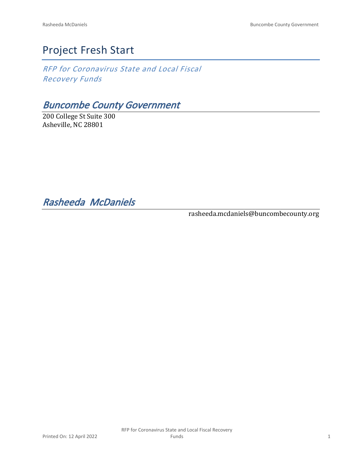# Project Fresh Start

*RFP for Coronavirus State and Local Fiscal Recovery Funds*

# *Buncombe County Government*

200 College St Suite 300 Asheville, NC 28801

*Rasheeda McDaniels* 

rasheeda.mcdaniels@buncombecounty.org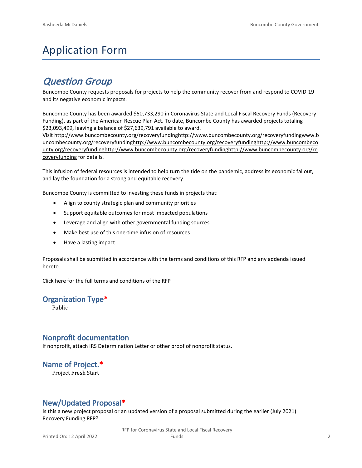# Application Form

# *Question Group*

Buncombe County requests proposals for projects to help the community recover from and respond to COVID-19 and its negative economic impacts.

Buncombe County has been awarded \$50,733,290 in Coronavirus State and Local Fiscal Recovery Funds (Recovery Funding), as part of the American Rescue Plan Act. To date, Buncombe County has awarded projects totaling \$23,093,499, leaving a balance of \$27,639,791 available to award.

Visit [http://www.buncombecounty.org/recoveryfundinghttp://www.buncombecounty.org/recoveryfundingwww.b](http://www.buncombecounty.org/recoveryfunding) [uncombecounty.org/recoveryfundinghttp://www.buncombecounty.org/recoveryfundinghttp://www.buncombeco](http://www.buncombecounty.org/recoveryfunding) [unty.org/recoveryfundinghttp://www.buncombecounty.org/recoveryfundinghttp://www.buncombecounty.org/re](http://www.buncombecounty.org/recoveryfunding) [coveryfunding](http://www.buncombecounty.org/recoveryfunding) for details.

This infusion of federal resources is intended to help turn the tide on the pandemic, address its economic fallout, and lay the foundation for a strong and equitable recovery.

Buncombe County is committed to investing these funds in projects that:

- Align to county strategic plan and community priorities
- Support equitable outcomes for most impacted populations
- Leverage and align with other governmental funding sources
- Make best use of this one-time infusion of resources
- Have a lasting impact

Proposals shall be submitted in accordance with the terms and conditions of this RFP and any addenda issued hereto.

Click [here](https://www.buncombecounty.org/common/purchasing/Buncombe%20Recovery%20Funding%20RFP%202022.pdf) for the full terms and conditions of the RFP

#### **Organization Type\***

Public

### **Nonprofit documentation**

If nonprofit, attach IRS Determination Letter or other proof of nonprofit status.

## **Name of Project.\***

Project Fresh Start

## **New/Updated Proposal\***

Is this a new project proposal or an updated version of a proposal submitted during the earlier (July 2021) Recovery Funding RFP?

> RFP for Coronavirus State and Local Fiscal Recovery Funds 2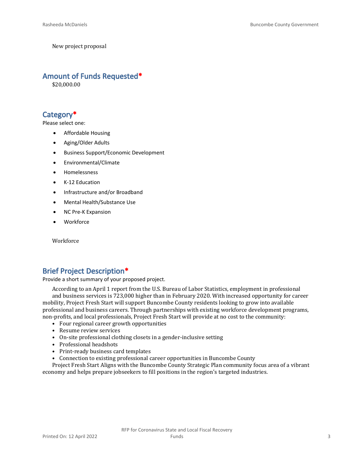New project proposal

#### **Amount of Funds Requested\***

\$20,000.00

## **Category\***

Please select one:

- Affordable Housing
- Aging/Older Adults
- Business Support/Economic Development
- Environmental/Climate
- Homelessness
- K-12 Education
- Infrastructure and/or Broadband
- Mental Health/Substance Use
- NC Pre-K Expansion
- Workforce

**Workforce** 

### **Brief Project Description\***

Provide a short summary of your proposed project.

According to an April 1 report from the U.S. Bureau of Labor Statistics, employment in professional and business services is 723,000 higher than in February 2020. With increased opportunity for career mobility, Project Fresh Start will support Buncombe County residents looking to grow into available professional and business careers. Through partnerships with existing workforce development programs, non-profits, and local professionals, Project Fresh Start will provide at no cost to the community:

- Four regional career growth opportunities
- Resume review services
- On-site professional clothing closets in a gender-inclusive setting
- Professional headshots
- Print-ready business card templates
- Connection to existing professional career opportunities in Buncombe County

Project Fresh Start Aligns with the Buncombe County Strategic Plan community focus area of a vibrant economy and helps prepare jobseekers to fill positions in the region's targeted industries.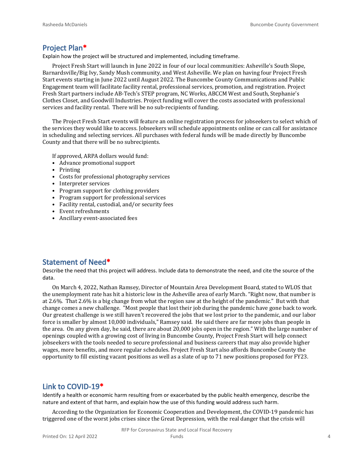#### **Project Plan\***

Explain how the project will be structured and implemented, including timeframe.

Project Fresh Start will launch in June 2022 in four of our local communities: Asheville's South Slope, Barnardsville/Big Ivy, Sandy Mush community, and West Asheville. We plan on having four Project Fresh Start events starting in June 2022 until August 2022. The Buncombe County Communications and Public Engagement team will facilitate facility rental, professional services, promotion, and registration. Project Fresh Start partners include AB-Tech's STEP program, NC Works, ABCCM West and South, Stephanie's Clothes Closet, and Goodwill Industries. Project funding will cover the costs associated with professional services and facility rental. There will be no sub-recipients of funding.

The Project Fresh Start events will feature an online registration process for jobseekers to select which of the services they would like to access. Jobseekers will schedule appointments online or can call for assistance in scheduling and selecting services. All purchases with federal funds will be made directly by Buncombe County and that there will be no subrecipients.

If approved, ARPA dollars would fund:

- Advance promotional support
- Printing
- Costs for professional photography services
- Interpreter services
- Program support for clothing providers
- Program support for professional services
- Facility rental, custodial, and/or security fees
- Event refreshments
- Ancillary event-associated fees

### **Statement of Need\***

Describe the need that this project will address. Include data to demonstrate the need, and cite the source of the data.

On March 4, 2022, Nathan Ramsey, Director of Mountain Area Development Board, stated to WLOS that the unemployment rate has hit a historic low in the Asheville area of early March. "Right now, that number is at 2.6%. That 2.6% is a big change from what the region saw at the height of the pandemic." But with that change comes a new challenge. "Most people that lost their job during the pandemic have gone back to work. Our greatest challenge is we still haven't recovered the jobs that we lost prior to the pandemic, and our labor force is smaller by almost 10,000 individuals," Ramsey said. He said there are far more jobs than people in the area. On any given day, he said, there are about 20,000 jobs open in the region." With the large number of openings coupled with a growing cost of living in Buncombe County, Project Fresh Start will help connect jobseekers with the tools needed to secure professional and business careers that may also provide higher wages, more benefits, and more regular schedules. Project Fresh Start also affords Buncombe County the opportunity to fill existing vacant positions as well as a slate of up to 71 new positions proposed for FY23.

### **Link to COVID-19\***

Identify a health or economic harm resulting from or exacerbated by the public health emergency, describe the nature and extent of that harm, and explain how the use of this funding would address such harm.

According to the Organization for Economic Cooperation and Development, the COVID-19 pandemic has triggered one of the worst jobs crises since the Great Depression, with the real danger that the crisis will

RFP for Coronavirus State and Local Fiscal Recovery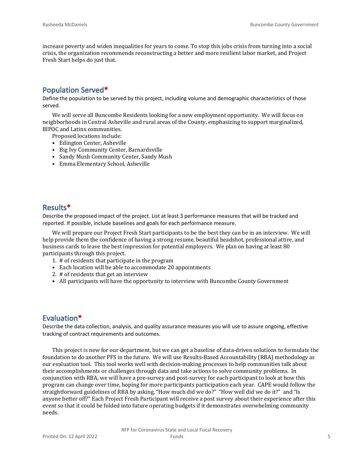increase poverty and widen inequalities for years to come. To stop this jobs crisis from turning into a social crisis, the organization recommends reconstructing a better and more resilient labor market, and Project Fresh Start helps do just that.

## **Population Served\***

Define the population to be served by this project, including volume and demographic characteristics of those served.

We will serve all Buncombe Residents looking for a new employment opportunity. We will focus on neighborhoods in Central Asheville and rural areas of the County, emphasizing to support marginalized, BIPOC and Latinx communities.

Proposed locations include:

- Edington Center, Asheville
- Big Ivy Community Center, Barnardsville
- Sandy Mush Community Center, Sandy Mush
- Emma Elementary School, Asheville

#### **Results\***

Describe the proposed impact of the project. List at least 3 performance measures that will be tracked and reported. If possible, include baselines and goals for each performance measure.

We will prepare our Project Fresh Start participants to be the best they can be in an interview. We will help provide them the confidence of having a strong resume, beautiful headshot, professional attire, and business cards to leave the best impression for potential employers. We plan on having at least 80 participants through this project.

- 1. # of residents that participate in the program
- Each location will be able to accommodate 20 appointments
- 2. # of residents that get an interview
- All participants will have the opportunity to interview with Buncombe County Government

### **Evaluation\***

Describe the data collection, analysis, and quality assurance measures you will use to assure ongoing, effective tracking of contract requirements and outcomes.

This project is new for our department, but we can get a baseline of data-driven solutions to formulate the foundation to do another PFS in the future. We will use Results-Based Accountability (RBA) methodology as our evaluation tool. This tool works well with decision-making processes to help communities talk about their accomplishments or challenges through data and take actions to solve community problems. In conjunction with RBA, we will have a pre-survey and post-survey for each participant to look at how this program can change over time, hoping for more participants participation each year. CAPE would follow the straightforward guidelines of RBA by asking, "How much did we do?" "How well did we do it?" and "Is anyone better off?" Each Project Fresh Participant will receive a post survey about their experience after this event so that it could be folded into future operating budgets if it demonstrates overwhelming community needs.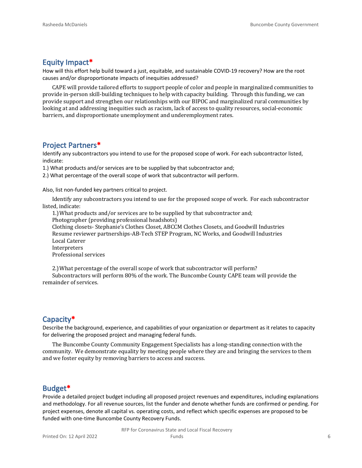#### **Equity Impact\***

How will this effort help build toward a just, equitable, and sustainable COVID-19 recovery? How are the root causes and/or disproportionate impacts of inequities addressed?

CAPE will provide tailored efforts to support people of color and people in marginalized communities to provide in-person skill-building techniques to help with capacity building. Through this funding, we can provide support and strengthen our relationships with our BIPOC and marginalized rural communities by looking at and addressing inequities such as racism, lack of access to quality resources, social-economic barriers, and disproportionate unemployment and underemployment rates.

#### **Project Partners\***

Identify any subcontractors you intend to use for the proposed scope of work. For each subcontractor listed, indicate:

1.) What products and/or services are to be supplied by that subcontractor and;

2.) What percentage of the overall scope of work that subcontractor will perform.

Also, list non-funded key partners critical to project.

Identify any subcontractors you intend to use for the proposed scope of work. For each subcontractor listed, indicate:

1.) What products and/or services are to be supplied by that subcontractor and; Photographer (providing professional headshots)

Clothing closets- Stephanie's Clothes Closet, ABCCM Clothes Closets, and Goodwill Industries Resume reviewer partnerships-AB-Tech STEP Program, NC Works, and Goodwill Industries

Local Caterer

Interpreters

Professional services

2.) What percentage of the overall scope of work that subcontractor will perform?

Subcontractors will perform 80% of the work. The Buncombe County CAPE team will provide the remainder of services.

### **Capacity\***

Describe the background, experience, and capabilities of your organization or department as it relates to capacity for delivering the proposed project and managing federal funds.

The Buncombe County Community Engagement Specialists has a long-standing connection with the community. We demonstrate equality by meeting people where they are and bringing the services to them and we foster equity by removing barriers to access and success.

#### **Budget\***

Provide a detailed project budget including all proposed project revenues and expenditures, including explanations and methodology. For all revenue sources, list the funder and denote whether funds are confirmed or pending. For project expenses, denote all capital vs. operating costs, and reflect which specific expenses are proposed to be funded with one-time Buncombe County Recovery Funds.

> RFP for Coronavirus State and Local Fiscal Recovery Funds 6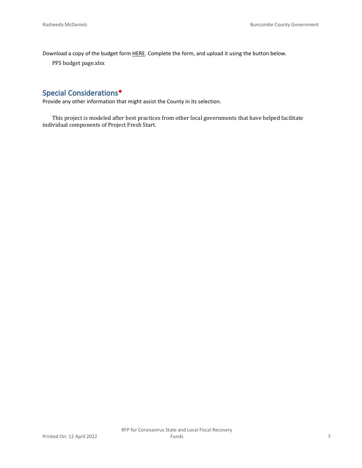Download a copy of the budget form [HERE](https://buncombecounty.org/common/community-investment/grants/early-childhood-education/Recovery-Funds-budget-template.xlsx). Complete the form, and upload it using the button below.

PFS budget page.xlsx

# **Special Considerations\***

Provide any other information that might assist the County in its selection.

This project is modeled after best practices from other local governments that have helped facilitate individual components of Project Fresh Start.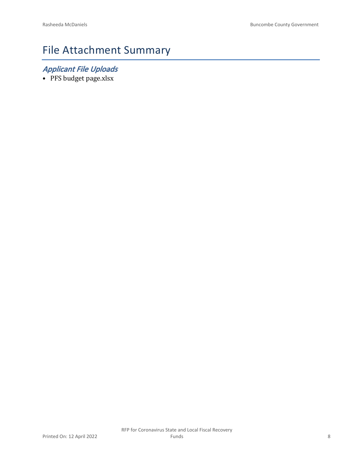# File Attachment Summary

# *Applicant File Uploads*

• PFS budget page.xlsx